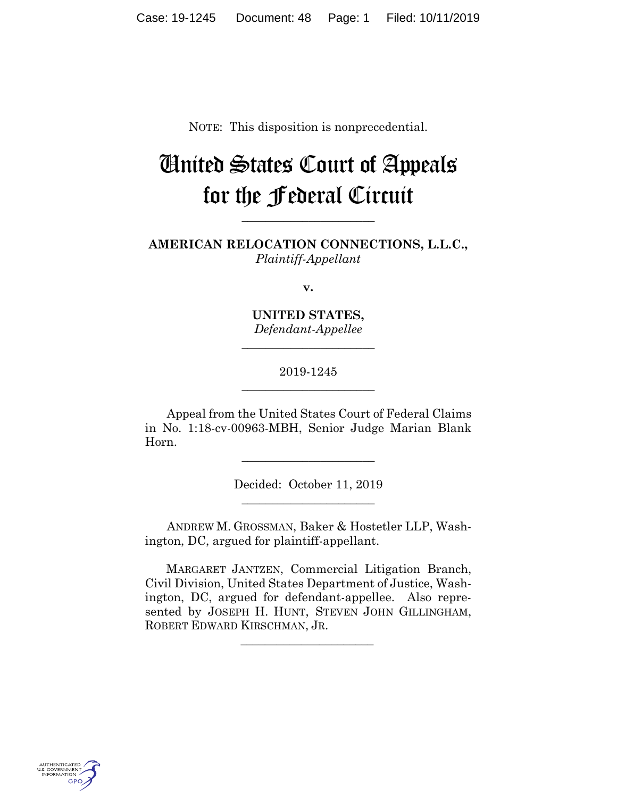NOTE: This disposition is nonprecedential.

# United States Court of Appeals for the Federal Circuit

**AMERICAN RELOCATION CONNECTIONS, L.L.C.,** *Plaintiff-Appellant*

**\_\_\_\_\_\_\_\_\_\_\_\_\_\_\_\_\_\_\_\_\_\_**

**v.**

**UNITED STATES,** *Defendant-Appellee*

**\_\_\_\_\_\_\_\_\_\_\_\_\_\_\_\_\_\_\_\_\_\_**

# 2019-1245 **\_\_\_\_\_\_\_\_\_\_\_\_\_\_\_\_\_\_\_\_\_\_**

Appeal from the United States Court of Federal Claims in No. 1:18-cv-00963-MBH, Senior Judge Marian Blank Horn.

**\_\_\_\_\_\_\_\_\_\_\_\_\_\_\_\_\_\_\_\_\_\_**

Decided: October 11, 2019 **\_\_\_\_\_\_\_\_\_\_\_\_\_\_\_\_\_\_\_\_\_\_**

ANDREW M. GROSSMAN, Baker & Hostetler LLP, Washington, DC, argued for plaintiff-appellant.

 MARGARET JANTZEN, Commercial Litigation Branch, Civil Division, United States Department of Justice, Washington, DC, argued for defendant-appellee. Also represented by JOSEPH H. HUNT, STEVEN JOHN GILLINGHAM, ROBERT EDWARD KIRSCHMAN, JR.

 $\mathcal{L}_\text{max}$  and  $\mathcal{L}_\text{max}$  and  $\mathcal{L}_\text{max}$  and  $\mathcal{L}_\text{max}$ 

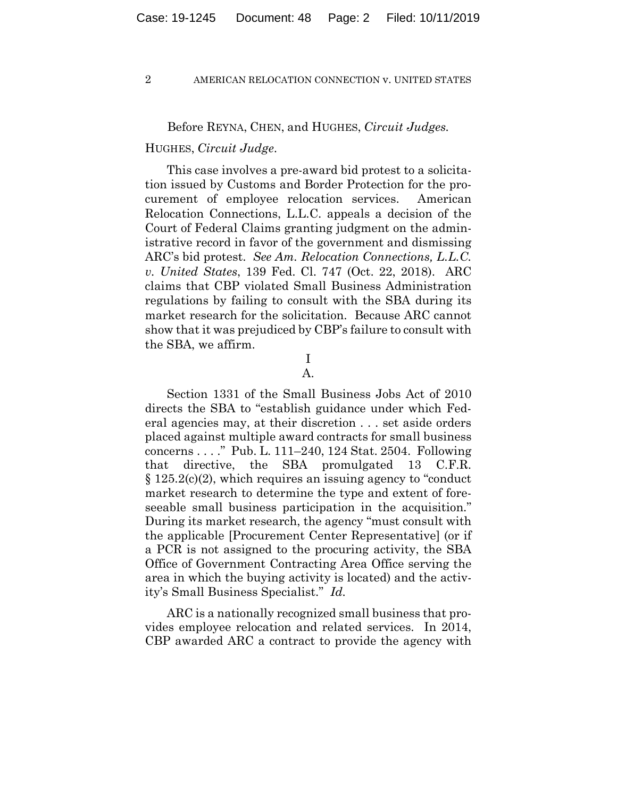## Before REYNA, CHEN, and HUGHES, *Circuit Judges.*

## HUGHES, *Circuit Judge*.

This case involves a pre-award bid protest to a solicitation issued by Customs and Border Protection for the procurement of employee relocation services. American Relocation Connections, L.L.C. appeals a decision of the Court of Federal Claims granting judgment on the administrative record in favor of the government and dismissing ARC's bid protest. *See Am. Relocation Connections, L.L.C. v. United States*, 139 Fed. Cl. 747 (Oct. 22, 2018). ARC claims that CBP violated Small Business Administration regulations by failing to consult with the SBA during its market research for the solicitation. Because ARC cannot show that it was prejudiced by CBP's failure to consult with the SBA, we affirm.

# I

## A.

Section 1331 of the Small Business Jobs Act of 2010 directs the SBA to "establish guidance under which Federal agencies may, at their discretion . . . set aside orders placed against multiple award contracts for small business concerns . . . ." Pub. L. 111–240, 124 Stat. 2504. Following that directive, the SBA promulgated 13 C.F.R. § 125.2(c)(2), which requires an issuing agency to "conduct market research to determine the type and extent of foreseeable small business participation in the acquisition." During its market research, the agency "must consult with the applicable [Procurement Center Representative] (or if a PCR is not assigned to the procuring activity, the SBA Office of Government Contracting Area Office serving the area in which the buying activity is located) and the activity's Small Business Specialist." *Id.*

ARC is a nationally recognized small business that provides employee relocation and related services. In 2014, CBP awarded ARC a contract to provide the agency with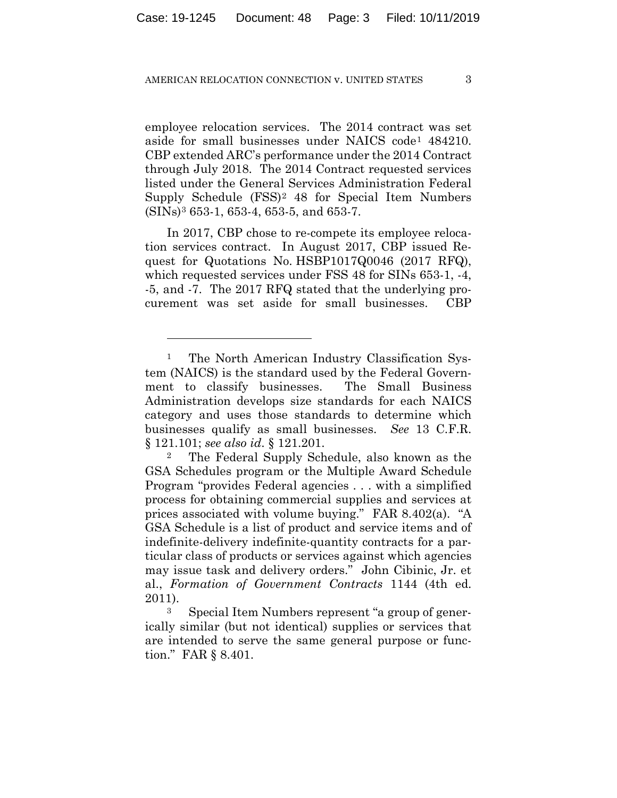employee relocation services. The 2014 contract was set aside for small businesses under NAICS code1 484210. CBP extended ARC's performance under the 2014 Contract through July 2018. The 2014 Contract requested services listed under the General Services Administration Federal Supply Schedule (FSS)2 48 for Special Item Numbers (SINs)3 653-1, 653-4, 653-5, and 653-7.

In 2017, CBP chose to re-compete its employee relocation services contract. In August 2017, CBP issued Request for Quotations No. HSBP1017Q0046 (2017 RFQ), which requested services under FSS 48 for SINs 653-1, -4, -5, and -7. The 2017 RFQ stated that the underlying procurement was set aside for small businesses. CBP

<u>.</u>

<sup>&</sup>lt;sup>1</sup> The North American Industry Classification System (NAICS) is the standard used by the Federal Government to classify businesses. The Small Business Administration develops size standards for each NAICS category and uses those standards to determine which businesses qualify as small businesses. *See* 13 C.F.R. § 121.101; *see also id*. § 121.201.

The Federal Supply Schedule, also known as the GSA Schedules program or the Multiple Award Schedule Program "provides Federal agencies . . . with a simplified process for obtaining commercial supplies and services at prices associated with volume buying." FAR 8.402(a). "A GSA Schedule is a list of product and service items and of indefinite-delivery indefinite-quantity contracts for a particular class of products or services against which agencies may issue task and delivery orders." John Cibinic, Jr. et al., *Formation of Government Contracts* 1144 (4th ed. 2011).

<sup>3</sup> Special Item Numbers represent "a group of generically similar (but not identical) supplies or services that are intended to serve the same general purpose or function." FAR § 8.401.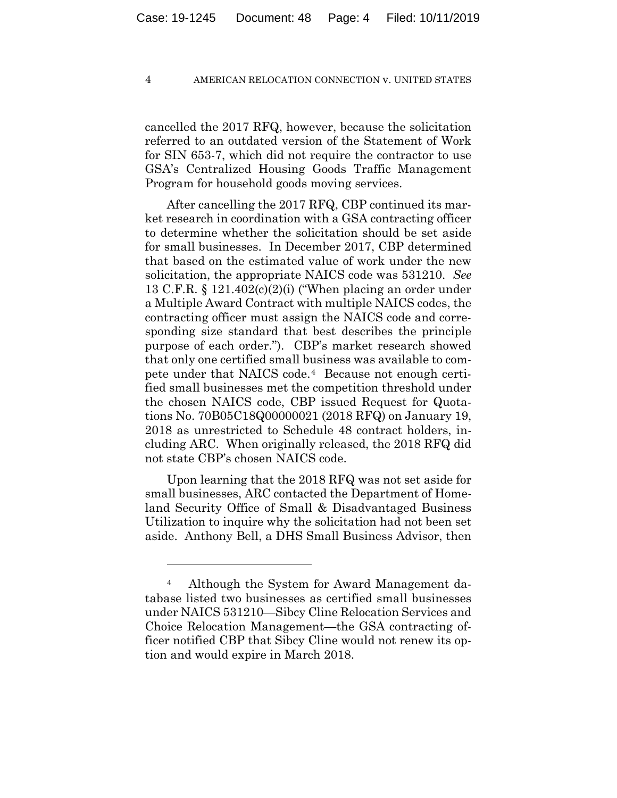cancelled the 2017 RFQ, however, because the solicitation referred to an outdated version of the Statement of Work for SIN 653-7, which did not require the contractor to use GSA's Centralized Housing Goods Traffic Management Program for household goods moving services.

After cancelling the 2017 RFQ, CBP continued its market research in coordination with a GSA contracting officer to determine whether the solicitation should be set aside for small businesses. In December 2017, CBP determined that based on the estimated value of work under the new solicitation, the appropriate NAICS code was 531210. *See*  13 C.F.R. § 121.402(c)(2)(i) ("When placing an order under a Multiple Award Contract with multiple NAICS codes, the contracting officer must assign the NAICS code and corresponding size standard that best describes the principle purpose of each order."). CBP's market research showed that only one certified small business was available to compete under that NAICS code.4 Because not enough certified small businesses met the competition threshold under the chosen NAICS code, CBP issued Request for Quotations No. 70B05C18Q00000021 (2018 RFQ) on January 19, 2018 as unrestricted to Schedule 48 contract holders, including ARC. When originally released, the 2018 RFQ did not state CBP's chosen NAICS code.

Upon learning that the 2018 RFQ was not set aside for small businesses, ARC contacted the Department of Homeland Security Office of Small & Disadvantaged Business Utilization to inquire why the solicitation had not been set aside. Anthony Bell, a DHS Small Business Advisor, then

1

<sup>4</sup> Although the System for Award Management database listed two businesses as certified small businesses under NAICS 531210—Sibcy Cline Relocation Services and Choice Relocation Management—the GSA contracting officer notified CBP that Sibcy Cline would not renew its option and would expire in March 2018.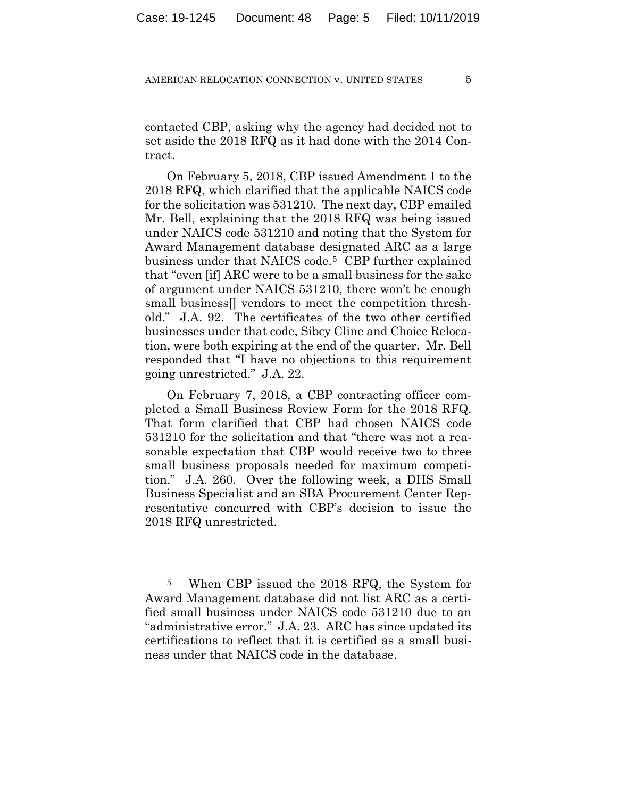contacted CBP, asking why the agency had decided not to set aside the 2018 RFQ as it had done with the 2014 Contract.

On February 5, 2018, CBP issued Amendment 1 to the 2018 RFQ, which clarified that the applicable NAICS code for the solicitation was 531210. The next day, CBP emailed Mr. Bell, explaining that the 2018 RFQ was being issued under NAICS code 531210 and noting that the System for Award Management database designated ARC as a large business under that NAICS code.5 CBP further explained that "even [if] ARC were to be a small business for the sake of argument under NAICS 531210, there won't be enough small business[] vendors to meet the competition threshold." J.A. 92. The certificates of the two other certified businesses under that code, Sibcy Cline and Choice Relocation, were both expiring at the end of the quarter. Mr. Bell responded that "I have no objections to this requirement going unrestricted." J.A. 22.

On February 7, 2018, a CBP contracting officer completed a Small Business Review Form for the 2018 RFQ. That form clarified that CBP had chosen NAICS code 531210 for the solicitation and that "there was not a reasonable expectation that CBP would receive two to three small business proposals needed for maximum competition." J.A. 260. Over the following week, a DHS Small Business Specialist and an SBA Procurement Center Representative concurred with CBP's decision to issue the 2018 RFQ unrestricted.

1

<sup>5</sup> When CBP issued the 2018 RFQ, the System for Award Management database did not list ARC as a certified small business under NAICS code 531210 due to an "administrative error." J.A. 23. ARC has since updated its certifications to reflect that it is certified as a small business under that NAICS code in the database.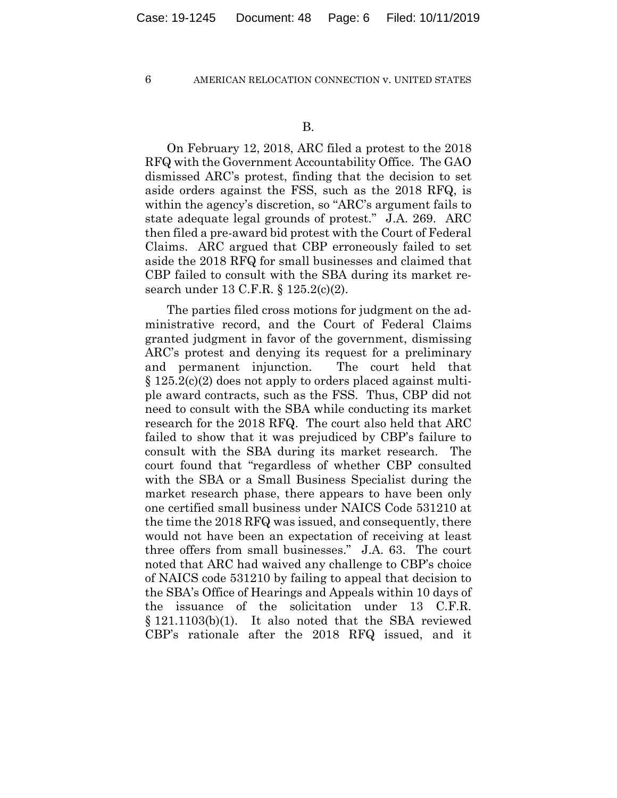On February 12, 2018, ARC filed a protest to the 2018 RFQ with the Government Accountability Office. The GAO dismissed ARC's protest, finding that the decision to set aside orders against the FSS, such as the 2018 RFQ, is within the agency's discretion, so "ARC's argument fails to state adequate legal grounds of protest." J.A. 269. ARC then filed a pre-award bid protest with the Court of Federal Claims. ARC argued that CBP erroneously failed to set aside the 2018 RFQ for small businesses and claimed that CBP failed to consult with the SBA during its market research under 13 C.F.R. § 125.2(c)(2).

The parties filed cross motions for judgment on the administrative record, and the Court of Federal Claims granted judgment in favor of the government, dismissing ARC's protest and denying its request for a preliminary and permanent injunction. The court held that § 125.2(c)(2) does not apply to orders placed against multiple award contracts, such as the FSS. Thus, CBP did not need to consult with the SBA while conducting its market research for the 2018 RFQ. The court also held that ARC failed to show that it was prejudiced by CBP's failure to consult with the SBA during its market research. The court found that "regardless of whether CBP consulted with the SBA or a Small Business Specialist during the market research phase, there appears to have been only one certified small business under NAICS Code 531210 at the time the 2018 RFQ was issued, and consequently, there would not have been an expectation of receiving at least three offers from small businesses." J.A. 63. The court noted that ARC had waived any challenge to CBP's choice of NAICS code 531210 by failing to appeal that decision to the SBA's Office of Hearings and Appeals within 10 days of the issuance of the solicitation under 13 C.F.R. § 121.1103(b)(1). It also noted that the SBA reviewed CBP's rationale after the 2018 RFQ issued, and it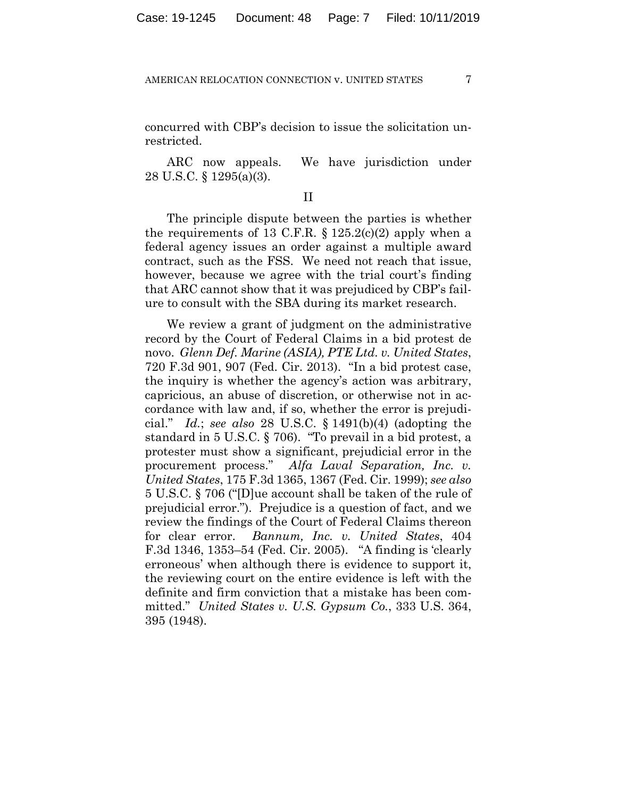concurred with CBP's decision to issue the solicitation unrestricted.

ARC now appeals. We have jurisdiction under 28 U.S.C. § 1295(a)(3).

### II

The principle dispute between the parties is whether the requirements of 13 C.F.R.  $\S 125.2(c)(2)$  apply when a federal agency issues an order against a multiple award contract, such as the FSS. We need not reach that issue, however, because we agree with the trial court's finding that ARC cannot show that it was prejudiced by CBP's failure to consult with the SBA during its market research.

We review a grant of judgment on the administrative record by the Court of Federal Claims in a bid protest de novo. *Glenn Def. Marine (ASIA), PTE Ltd. v. United States*, 720 F.3d 901, 907 (Fed. Cir. 2013). "In a bid protest case, the inquiry is whether the agency's action was arbitrary, capricious, an abuse of discretion, or otherwise not in accordance with law and, if so, whether the error is prejudicial." *Id.*; *see also* 28 U.S.C. § 1491(b)(4) (adopting the standard in 5 U.S.C. § 706). "To prevail in a bid protest, a protester must show a significant, prejudicial error in the procurement process." *Alfa Laval Separation, Inc. v. United States*, 175 F.3d 1365, 1367 (Fed. Cir. 1999); *see also* 5 U.S.C. § 706 ("[D]ue account shall be taken of the rule of prejudicial error."). Prejudice is a question of fact, and we review the findings of the Court of Federal Claims thereon for clear error. *Bannum, Inc. v. United States*, 404 F.3d 1346, 1353–54 (Fed. Cir. 2005). "A finding is 'clearly erroneous' when although there is evidence to support it, the reviewing court on the entire evidence is left with the definite and firm conviction that a mistake has been committed." *United States v. U.S. Gypsum Co.*, 333 U.S. 364, 395 (1948).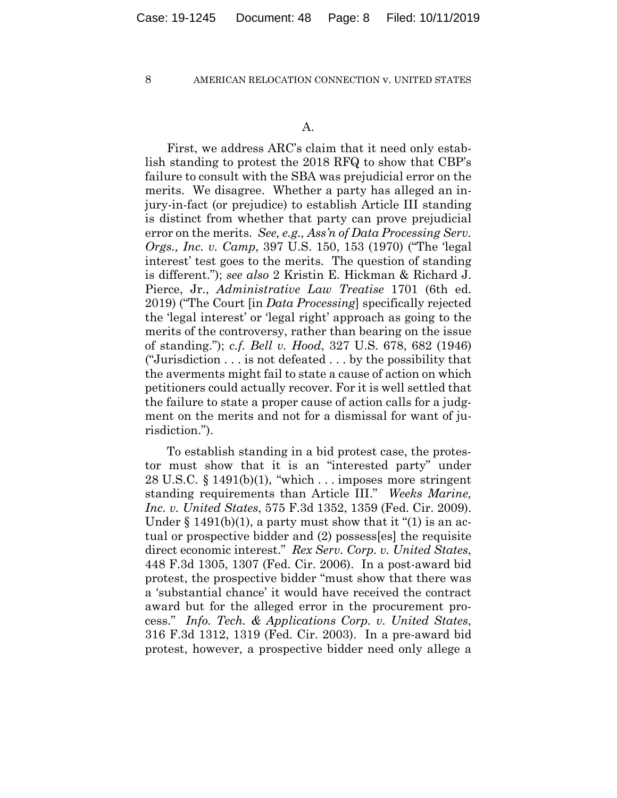First, we address ARC's claim that it need only establish standing to protest the 2018 RFQ to show that CBP's failure to consult with the SBA was prejudicial error on the merits. We disagree. Whether a party has alleged an injury-in-fact (or prejudice) to establish Article III standing is distinct from whether that party can prove prejudicial error on the merits. *See, e.g., Ass'n of Data Processing Serv. Orgs., Inc. v. Camp*, 397 U.S. 150, 153 (1970) ("The 'legal interest' test goes to the merits. The question of standing is different."); *see also* 2 Kristin E. Hickman & Richard J. Pierce, Jr., *Administrative Law Treatise* 1701 (6th ed. 2019) ("The Court [in *Data Processing*] specifically rejected the 'legal interest' or 'legal right' approach as going to the merits of the controversy, rather than bearing on the issue of standing."); *c.f. Bell v. Hood*, 327 U.S. 678, 682 (1946) ("Jurisdiction . . . is not defeated . . . by the possibility that the averments might fail to state a cause of action on which petitioners could actually recover. For it is well settled that the failure to state a proper cause of action calls for a judgment on the merits and not for a dismissal for want of jurisdiction.").

To establish standing in a bid protest case, the protestor must show that it is an "interested party" under 28 U.S.C.  $\S 1491(b)(1)$ , "which ... imposes more stringent standing requirements than Article III." *Weeks Marine, Inc. v. United States*, 575 F.3d 1352, 1359 (Fed. Cir. 2009). Under  $\S$  1491(b)(1), a party must show that it "(1) is an actual or prospective bidder and (2) possess[es] the requisite direct economic interest." *Rex Serv. Corp. v. United States*, 448 F.3d 1305, 1307 (Fed. Cir. 2006). In a post-award bid protest, the prospective bidder "must show that there was a 'substantial chance' it would have received the contract award but for the alleged error in the procurement process." *Info. Tech. & Applications Corp. v. United States*, 316 F.3d 1312, 1319 (Fed. Cir. 2003). In a pre-award bid protest, however, a prospective bidder need only allege a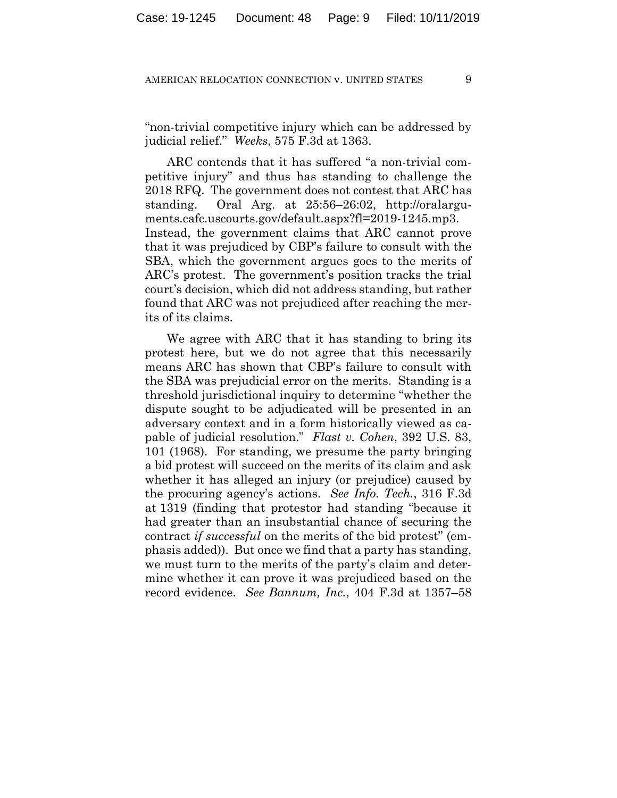"non-trivial competitive injury which can be addressed by judicial relief." *Weeks*, 575 F.3d at 1363.

ARC contends that it has suffered "a non-trivial competitive injury" and thus has standing to challenge the 2018 RFQ. The government does not contest that ARC has standing. Oral Arg. at 25:56–26:02, http://oralarguments.cafc.uscourts.gov/default.aspx?fl=2019-1245.mp3. Instead, the government claims that ARC cannot prove that it was prejudiced by CBP's failure to consult with the SBA, which the government argues goes to the merits of ARC's protest. The government's position tracks the trial court's decision, which did not address standing, but rather found that ARC was not prejudiced after reaching the merits of its claims.

We agree with ARC that it has standing to bring its protest here, but we do not agree that this necessarily means ARC has shown that CBP's failure to consult with the SBA was prejudicial error on the merits. Standing is a threshold jurisdictional inquiry to determine "whether the dispute sought to be adjudicated will be presented in an adversary context and in a form historically viewed as capable of judicial resolution." *Flast v. Cohen*, 392 U.S. 83, 101 (1968). For standing, we presume the party bringing a bid protest will succeed on the merits of its claim and ask whether it has alleged an injury (or prejudice) caused by the procuring agency's actions. *See Info. Tech.*, 316 F.3d at 1319 (finding that protestor had standing "because it had greater than an insubstantial chance of securing the contract *if successful* on the merits of the bid protest" (emphasis added)). But once we find that a party has standing, we must turn to the merits of the party's claim and determine whether it can prove it was prejudiced based on the record evidence. *See Bannum, Inc.*, 404 F.3d at 1357–58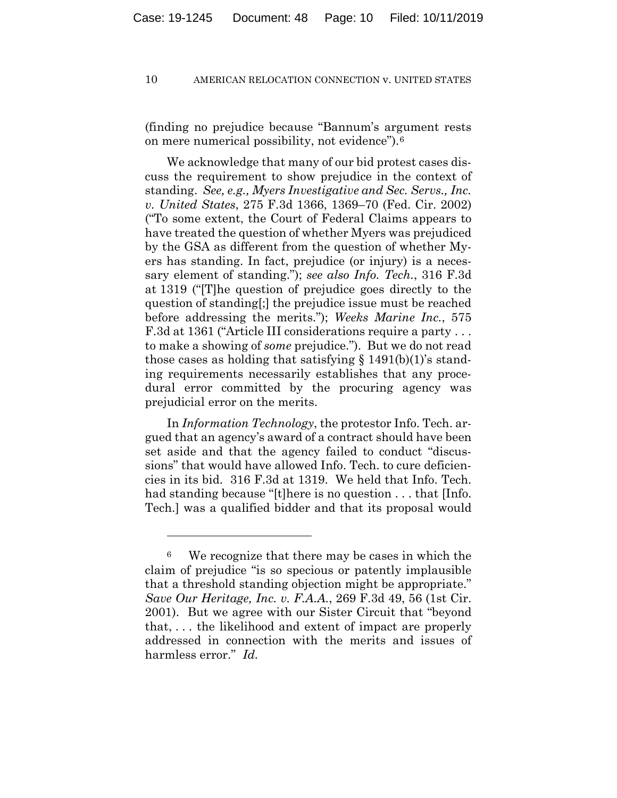(finding no prejudice because "Bannum's argument rests on mere numerical possibility, not evidence").6

We acknowledge that many of our bid protest cases discuss the requirement to show prejudice in the context of standing. *See, e.g., Myers Investigative and Sec. Servs., Inc. v. United States*, 275 F.3d 1366, 1369–70 (Fed. Cir. 2002) ("To some extent, the Court of Federal Claims appears to have treated the question of whether Myers was prejudiced by the GSA as different from the question of whether Myers has standing. In fact, prejudice (or injury) is a necessary element of standing."); *see also Info. Tech.*, 316 F.3d at 1319 ("[T]he question of prejudice goes directly to the question of standing[;] the prejudice issue must be reached before addressing the merits."); *Weeks Marine Inc.*, 575 F.3d at 1361 ("Article III considerations require a party . . . to make a showing of *some* prejudice."). But we do not read those cases as holding that satisfying  $\S$  1491(b)(1)'s standing requirements necessarily establishes that any procedural error committed by the procuring agency was prejudicial error on the merits.

In *Information Technology*, the protestor Info. Tech. argued that an agency's award of a contract should have been set aside and that the agency failed to conduct "discussions" that would have allowed Info. Tech. to cure deficiencies in its bid. 316 F.3d at 1319. We held that Info. Tech. had standing because "[t] here is no question . . . that [Info. Tech.] was a qualified bidder and that its proposal would

1

<sup>6</sup> We recognize that there may be cases in which the claim of prejudice "is so specious or patently implausible that a threshold standing objection might be appropriate." *Save Our Heritage, Inc. v. F.A.A.*, 269 F.3d 49, 56 (1st Cir. 2001). But we agree with our Sister Circuit that "beyond that, . . . the likelihood and extent of impact are properly addressed in connection with the merits and issues of harmless error." *Id.*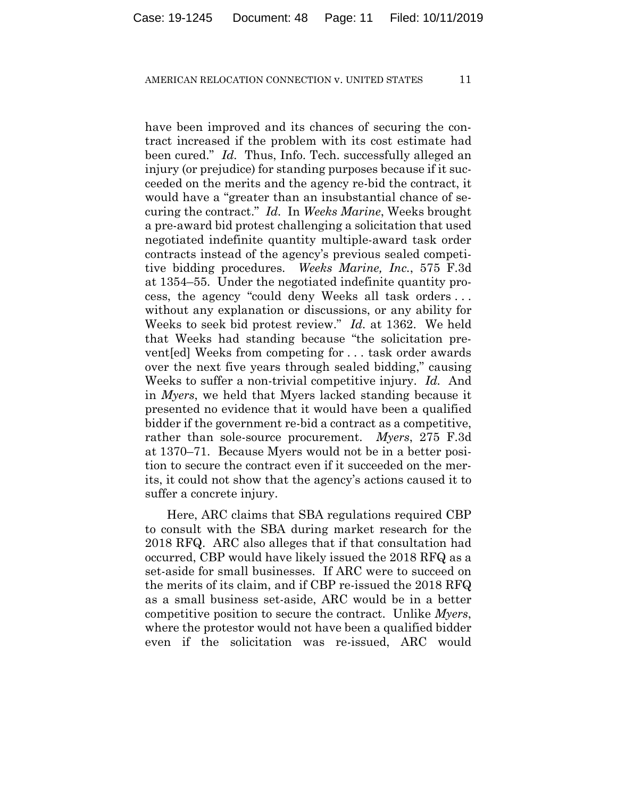have been improved and its chances of securing the contract increased if the problem with its cost estimate had been cured." *Id.* Thus, Info. Tech. successfully alleged an injury (or prejudice) for standing purposes because if it succeeded on the merits and the agency re-bid the contract, it would have a "greater than an insubstantial chance of securing the contract." *Id.* In *Weeks Marine*, Weeks brought a pre-award bid protest challenging a solicitation that used negotiated indefinite quantity multiple-award task order contracts instead of the agency's previous sealed competitive bidding procedures. *Weeks Marine, Inc.*, 575 F.3d at 1354–55. Under the negotiated indefinite quantity process, the agency "could deny Weeks all task orders . . . without any explanation or discussions, or any ability for Weeks to seek bid protest review." *Id.* at 1362. We held that Weeks had standing because "the solicitation prevent[ed] Weeks from competing for . . . task order awards over the next five years through sealed bidding," causing Weeks to suffer a non-trivial competitive injury. *Id.* And in *Myers*, we held that Myers lacked standing because it presented no evidence that it would have been a qualified bidder if the government re-bid a contract as a competitive, rather than sole-source procurement. *Myers*, 275 F.3d at 1370–71. Because Myers would not be in a better position to secure the contract even if it succeeded on the merits, it could not show that the agency's actions caused it to suffer a concrete injury.

Here, ARC claims that SBA regulations required CBP to consult with the SBA during market research for the 2018 RFQ. ARC also alleges that if that consultation had occurred, CBP would have likely issued the 2018 RFQ as a set-aside for small businesses. If ARC were to succeed on the merits of its claim, and if CBP re-issued the 2018 RFQ as a small business set-aside, ARC would be in a better competitive position to secure the contract. Unlike *Myers*, where the protestor would not have been a qualified bidder even if the solicitation was re-issued, ARC would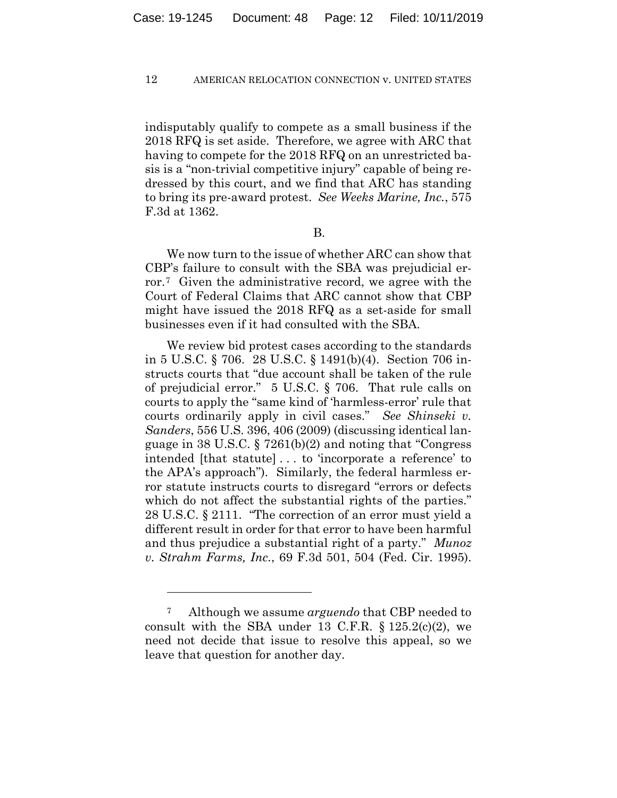indisputably qualify to compete as a small business if the 2018 RFQ is set aside. Therefore, we agree with ARC that having to compete for the 2018 RFQ on an unrestricted basis is a "non-trivial competitive injury" capable of being redressed by this court, and we find that ARC has standing to bring its pre-award protest. *See Weeks Marine, Inc.*, 575 F.3d at 1362.

B.

We now turn to the issue of whether ARC can show that CBP's failure to consult with the SBA was prejudicial error.7 Given the administrative record, we agree with the Court of Federal Claims that ARC cannot show that CBP might have issued the 2018 RFQ as a set-aside for small businesses even if it had consulted with the SBA.

We review bid protest cases according to the standards in 5 U.S.C. § 706. 28 U.S.C. § 1491(b)(4). Section 706 instructs courts that "due account shall be taken of the rule of prejudicial error." 5 U.S.C. § 706. That rule calls on courts to apply the "same kind of 'harmless-error' rule that courts ordinarily apply in civil cases." *See Shinseki v. Sanders*, 556 U.S. 396, 406 (2009) (discussing identical language in 38 U.S.C. § 7261(b)(2) and noting that "Congress intended [that statute] . . . to 'incorporate a reference' to the APA's approach"). Similarly, the federal harmless error statute instructs courts to disregard "errors or defects which do not affect the substantial rights of the parties." 28 U.S.C. § 2111. "The correction of an error must yield a different result in order for that error to have been harmful and thus prejudice a substantial right of a party." *Munoz v. Strahm Farms, Inc.*, 69 F.3d 501, 504 (Fed. Cir. 1995).

<u>.</u>

<sup>7</sup> Although we assume *arguendo* that CBP needed to consult with the SBA under 13 C.F.R.  $\S 125.2(c)(2)$ , we need not decide that issue to resolve this appeal, so we leave that question for another day.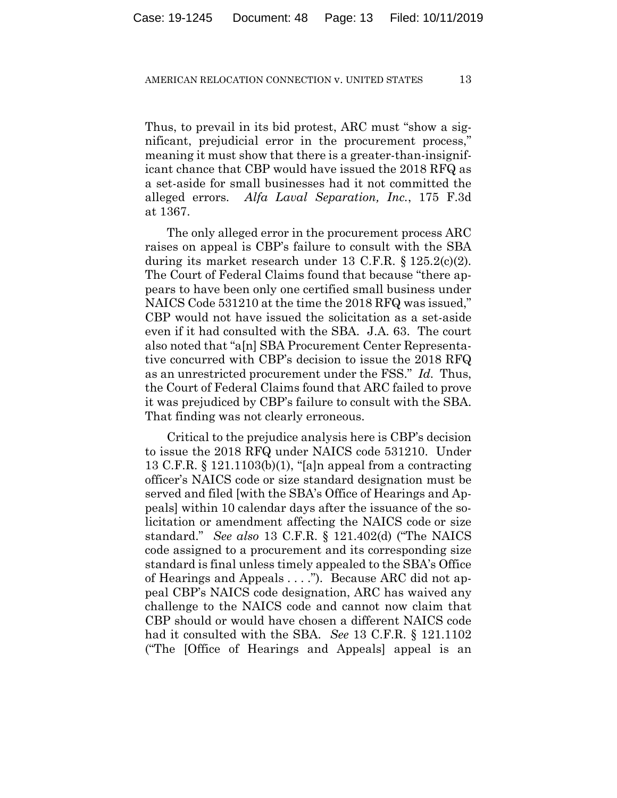Thus, to prevail in its bid protest, ARC must "show a significant, prejudicial error in the procurement process," meaning it must show that there is a greater-than-insignificant chance that CBP would have issued the 2018 RFQ as a set-aside for small businesses had it not committed the alleged errors. *Alfa Laval Separation, Inc.*, 175 F.3d at 1367.

The only alleged error in the procurement process ARC raises on appeal is CBP's failure to consult with the SBA during its market research under 13 C.F.R. § 125.2(c)(2). The Court of Federal Claims found that because "there appears to have been only one certified small business under NAICS Code 531210 at the time the 2018 RFQ was issued," CBP would not have issued the solicitation as a set-aside even if it had consulted with the SBA. J.A. 63. The court also noted that "a[n] SBA Procurement Center Representative concurred with CBP's decision to issue the 2018 RFQ as an unrestricted procurement under the FSS." *Id.* Thus, the Court of Federal Claims found that ARC failed to prove it was prejudiced by CBP's failure to consult with the SBA. That finding was not clearly erroneous.

Critical to the prejudice analysis here is CBP's decision to issue the 2018 RFQ under NAICS code 531210. Under 13 C.F.R. § 121.1103(b)(1), "[a]n appeal from a contracting officer's NAICS code or size standard designation must be served and filed [with the SBA's Office of Hearings and Appeals] within 10 calendar days after the issuance of the solicitation or amendment affecting the NAICS code or size standard." *See also* 13 C.F.R. § 121.402(d) ("The NAICS code assigned to a procurement and its corresponding size standard is final unless timely appealed to the SBA's Office of Hearings and Appeals . . . ."). Because ARC did not appeal CBP's NAICS code designation, ARC has waived any challenge to the NAICS code and cannot now claim that CBP should or would have chosen a different NAICS code had it consulted with the SBA. *See* 13 C.F.R. § 121.1102 ("The [Office of Hearings and Appeals] appeal is an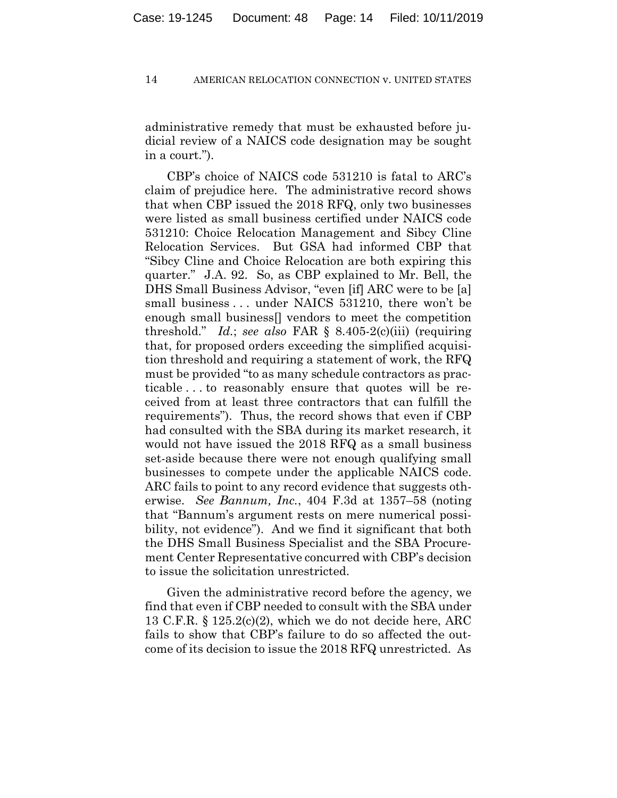administrative remedy that must be exhausted before judicial review of a NAICS code designation may be sought in a court.").

CBP's choice of NAICS code 531210 is fatal to ARC's claim of prejudice here. The administrative record shows that when CBP issued the 2018 RFQ, only two businesses were listed as small business certified under NAICS code 531210: Choice Relocation Management and Sibcy Cline Relocation Services. But GSA had informed CBP that "Sibcy Cline and Choice Relocation are both expiring this quarter." J.A. 92. So, as CBP explained to Mr. Bell, the DHS Small Business Advisor, "even [if] ARC were to be [a] small business . . . under NAICS 531210, there won't be enough small business[] vendors to meet the competition threshold." *Id.*; *see also* FAR § 8.405-2(c)(iii) (requiring that, for proposed orders exceeding the simplified acquisition threshold and requiring a statement of work, the RFQ must be provided "to as many schedule contractors as practicable . . . to reasonably ensure that quotes will be received from at least three contractors that can fulfill the requirements"). Thus, the record shows that even if CBP had consulted with the SBA during its market research, it would not have issued the 2018 RFQ as a small business set-aside because there were not enough qualifying small businesses to compete under the applicable NAICS code. ARC fails to point to any record evidence that suggests otherwise. *See Bannum, Inc.*, 404 F.3d at 1357–58 (noting that "Bannum's argument rests on mere numerical possibility, not evidence"). And we find it significant that both the DHS Small Business Specialist and the SBA Procurement Center Representative concurred with CBP's decision to issue the solicitation unrestricted.

Given the administrative record before the agency, we find that even if CBP needed to consult with the SBA under 13 C.F.R.  $\S 125.2(c)(2)$ , which we do not decide here, ARC fails to show that CBP's failure to do so affected the outcome of its decision to issue the 2018 RFQ unrestricted. As